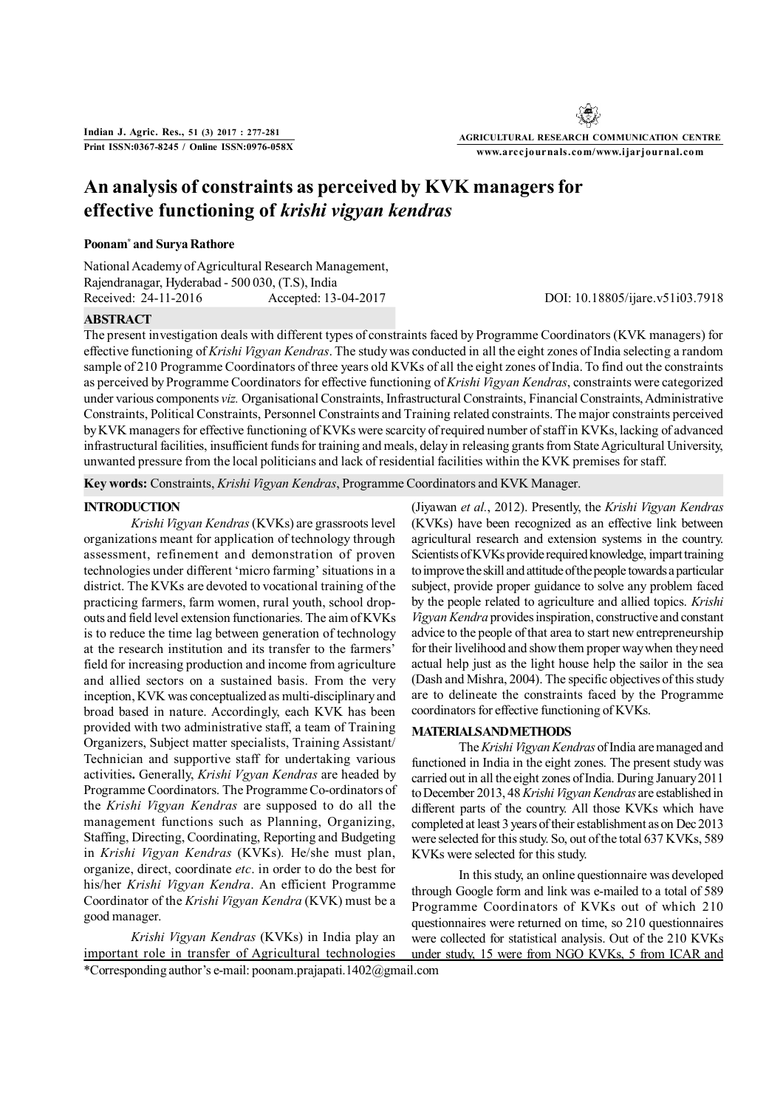**AGRICULTURAL RESEARCH COMMUNICATION CENTRE www.arccjournals.com/www.ijarjournal.com**

# **An analysis of constraints as perceived by KVK managers for effective functioning of** *krishi vigyan kendras*

### **Poonam\* and Surya Rathore**

National Academy of Agricultural Research Management, Rajendranagar, Hyderabad - 500 030, (T.S), India Received: 24-11-2016 Accepted: 13-04-2017 DOI: 10.18805/ijare.v51i03.7918

## **ABSTRACT**

The present investigation deals with different types of constraints faced by Programme Coordinators (KVK managers) for effective functioning of *Krishi Vigyan Kendras*. The study was conducted in all the eight zones of India selecting a random sample of 210 Programme Coordinators of three years old KVKs of all the eight zones of India. To find out the constraints as perceived by Programme Coordinators for effective functioning of *Krishi Vigyan Kendras*, constraints were categorized under various components *viz.* Organisational Constraints, Infrastructural Constraints, Financial Constraints, Administrative Constraints, Political Constraints, Personnel Constraints and Training related constraints. The major constraints perceived by KVK managers for effective functioning of KVKs were scarcity of required number of staff in KVKs, lacking of advanced infrastructural facilities, insufficient funds for training and meals, delay in releasing grants from State Agricultural University, unwanted pressure from the local politicians and lack of residential facilities within the KVK premises for staff.

**Key words:** Constraints, *Krishi Vigyan Kendras*, Programme Coordinators and KVK Manager.

# **INTRODUCTION**

*Krishi Vigyan Kendras* (KVKs) are grassroots level organizations meant for application of technology through assessment, refinement and demonstration of proven technologies under different 'micro farming' situations in a district. The KVKs are devoted to vocational training of the practicing farmers, farm women, rural youth, school dropouts and field level extension functionaries. The aim of KVKs is to reduce the time lag between generation of technology at the research institution and its transfer to the farmers' field for increasing production and income from agriculture and allied sectors on a sustained basis. From the very inception, KVK was conceptualized as multi-disciplinary and broad based in nature. Accordingly, each KVK has been provided with two administrative staff, a team of Training Organizers, Subject matter specialists, Training Assistant/ Technician and supportive staff for undertaking various activities**.** Generally, *Krishi Vgyan Kendras* are headed by Programme Coordinators. The Programme Co-ordinators of the *Krishi Vigyan Kendras* are supposed to do all the management functions such as Planning, Organizing, Staffing, Directing, Coordinating, Reporting and Budgeting in *Krishi Vigyan Kendras* (KVKs)*.* He/she must plan, organize, direct, coordinate *etc*. in order to do the best for his/her *Krishi Vigyan Kendra*. An efficient Programme Coordinator of the *Krishi Vigyan Kendra* (KVK) must be a good manager.

*Krishi Vigyan Kendras* (KVKs) in India play an important role in transfer of Agricultural technologies

(Jiyawan *et al.*, 2012). Presently, the *Krishi Vigyan Kendras* (KVKs) have been recognized as an effective link between agricultural research and extension systems in the country. Scientists of KVKs provide required knowledge, impart training to improve the skill and attitude of the people towards a particular subject, provide proper guidance to solve any problem faced by the people related to agriculture and allied topics. *Krishi Vigyan Kendra* provides inspiration, constructive and constant advice to the people of that area to start new entrepreneurship for their livelihood and show them proper way when they need actual help just as the light house help the sailor in the sea (Dash and Mishra, 2004). The specific objectives of this study are to delineate the constraints faced by the Programme coordinators for effective functioning of KVKs.

# **MATERIALS AND METHODS**

The *Krishi Vigyan Kendras* of India are managed and functioned in India in the eight zones. The present study was carried out in all the eight zones of India. During January 2011 to December 2013, 48 *Krishi Vigyan Kendras* are established in different parts of the country. All those KVKs which have completed at least 3 years of their establishment as on Dec 2013 were selected for this study. So, out of the total 637 KVKs, 589 KVKs were selected for this study.

In this study, an online questionnaire was developed through Google form and link was e-mailed to a total of 589 Programme Coordinators of KVKs out of which 210 questionnaires were returned on time, so 210 questionnaires were collected for statistical analysis. Out of the 210 KVKs under study, 15 were from NGO KVKs, 5 from ICAR and

\*Corresponding author's e-mail: poonam.prajapati.1402@gmail.com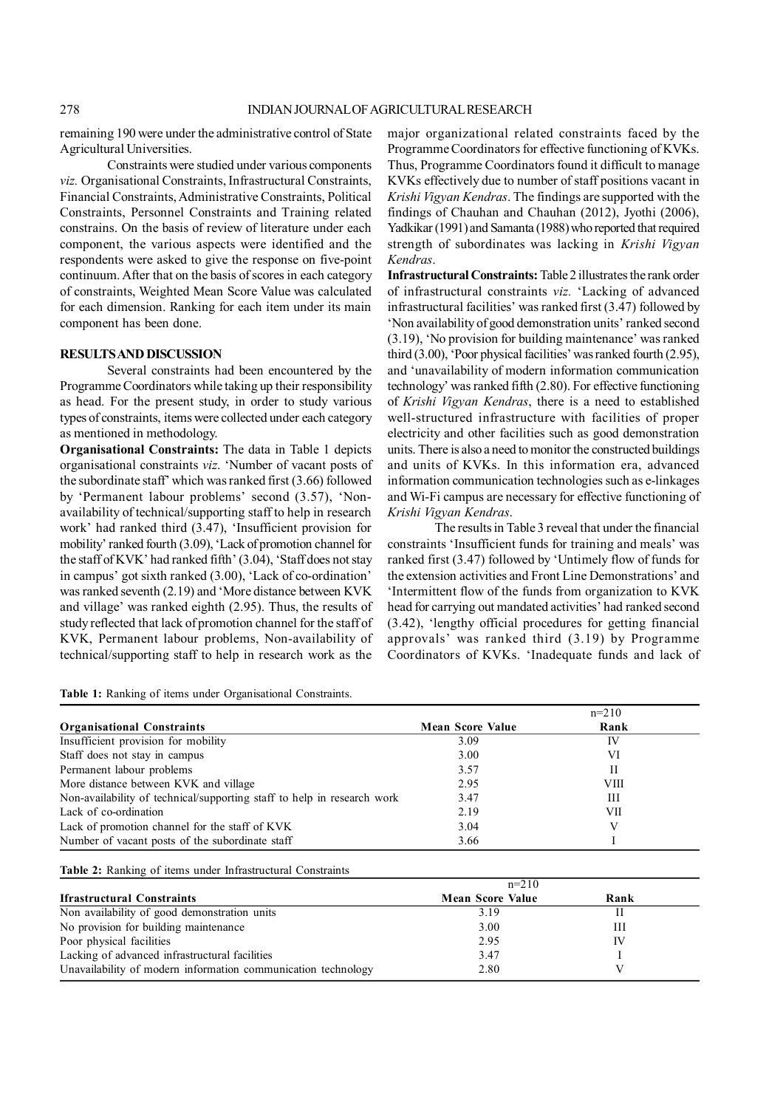remaining 190 were under the administrative control of State Agricultural Universities.

Constraints were studied under various components *viz.* Organisational Constraints, Infrastructural Constraints, Financial Constraints, Administrative Constraints, Political Constraints, Personnel Constraints and Training related constrains. On the basis of review of literature under each component, the various aspects were identified and the respondents were asked to give the response on five-point continuum. After that on the basis of scores in each category of constraints, Weighted Mean Score Value was calculated for each dimension. Ranking for each item under its main component has been done.

### **RESULTS AND DISCUSSION**

Several constraints had been encountered by the Programme Coordinators while taking up their responsibility as head. For the present study, in order to study various types of constraints, items were collected under each category as mentioned in methodology.

**Organisational Constraints:** The data in Table 1 depicts organisational constraints *viz*. 'Number of vacant posts of the subordinate staff' which was ranked first (3.66) followed by 'Permanent labour problems' second (3.57), 'Nonavailability of technical/supporting staff to help in research work' had ranked third (3.47), 'Insufficient provision for mobility' ranked fourth (3.09), 'Lack of promotion channel for the staff of KVK' had ranked fifth' (3.04), 'Staff does not stay in campus' got sixth ranked (3.00), 'Lack of co-ordination' was ranked seventh (2.19) and 'More distance between KVK and village' was ranked eighth (2.95). Thus, the results of study reflected that lack of promotion channel for the staff of KVK, Permanent labour problems, Non-availability of technical/supporting staff to help in research work as the major organizational related constraints faced by the Programme Coordinators for effective functioning of KVKs. Thus, Programme Coordinators found it difficult to manage KVKs effectively due to number of staff positions vacant in *Krishi Vigyan Kendras*. The findings are supported with the findings of Chauhan and Chauhan (2012), Jyothi (2006), Yadkikar (1991) and Samanta (1988) who reported that required strength of subordinates was lacking in *Krishi Vigyan Kendras*.

**Infrastructural Constraints:** Table 2 illustrates the rank order of infrastructural constraints *viz.* 'Lacking of advanced infrastructural facilities' was ranked first (3.47) followed by 'Non availability of good demonstration units' ranked second (3.19), 'No provision for building maintenance' was ranked third (3.00), 'Poor physical facilities' was ranked fourth (2.95), and 'unavailability of modern information communication technology' was ranked fifth (2.80). For effective functioning of *Krishi Vigyan Kendras*, there is a need to established well-structured infrastructure with facilities of proper electricity and other facilities such as good demonstration units. There is also a need to monitor the constructed buildings and units of KVKs. In this information era, advanced information communication technologies such as e-linkages and Wi-Fi campus are necessary for effective functioning of *Krishi Vigyan Kendras*.

The results in Table 3 reveal that under the financial constraints 'Insufficient funds for training and meals' was ranked first (3.47) followed by 'Untimely flow of funds for the extension activities and Front Line Demonstrations' and 'Intermittent flow of the funds from organization to KVK head for carrying out mandated activities' had ranked second (3.42), 'lengthy official procedures for getting financial approvals' was ranked third (3.19) by Programme Coordinators of KVKs. 'Inadequate funds and lack of

**Table 1:** Ranking of items under Organisational Constraints.

|                                                                         |                         | $n=210$     |
|-------------------------------------------------------------------------|-------------------------|-------------|
| <b>Organisational Constraints</b>                                       | <b>Mean Score Value</b> | Rank        |
| Insufficient provision for mobility                                     | 3.09                    | IV          |
| Staff does not stay in campus                                           | 3.00                    | VI          |
| Permanent labour problems                                               | 3.57                    | Н           |
| More distance between KVK and village                                   | 2.95                    | <b>VIII</b> |
| Non-availability of technical/supporting staff to help in research work | 3.47                    | Ш           |
| Lack of co-ordination                                                   | 2.19                    | VІІ         |
| Lack of promotion channel for the staff of KVK                          | 3.04                    |             |
| Number of vacant posts of the subordinate staff                         | 3.66                    |             |

| Table 2: Ranking of items under Infrastructural Constraints |  |  |  |  |
|-------------------------------------------------------------|--|--|--|--|
|-------------------------------------------------------------|--|--|--|--|

|                                                               | $n=210$                 |      |  |
|---------------------------------------------------------------|-------------------------|------|--|
| <b>Ifrastructural Constraints</b>                             | <b>Mean Score Value</b> | Rank |  |
| Non availability of good demonstration units                  | 3.19                    |      |  |
| No provision for building maintenance                         | 3.00                    | Ш    |  |
| Poor physical facilities                                      | 2.95                    | IV   |  |
| Lacking of advanced infrastructural facilities                | 3.47                    |      |  |
| Unavailability of modern information communication technology | 2.80                    |      |  |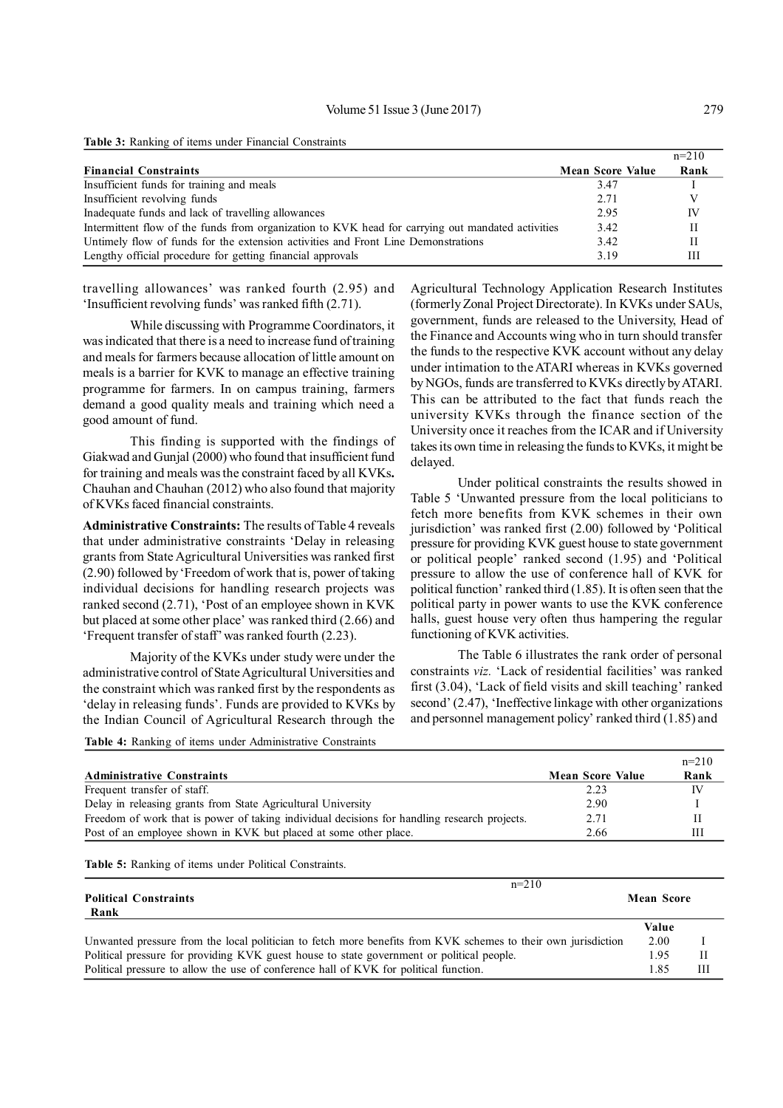**Table 3:** Ranking of items under Financial Constraints

|                                                                                                   |                         | $n=210$ |
|---------------------------------------------------------------------------------------------------|-------------------------|---------|
| <b>Financial Constraints</b>                                                                      | <b>Mean Score Value</b> | Rank    |
| Insufficient funds for training and meals                                                         | 3.47                    |         |
| Insufficient revolving funds                                                                      | 2.71                    |         |
| Inadequate funds and lack of travelling allowances                                                | 2.95                    | IV      |
| Intermittent flow of the funds from organization to KVK head for carrying out mandated activities | 3.42                    | H       |
| Untimely flow of funds for the extension activities and Front Line Demonstrations                 | 3.42                    |         |
| Lengthy official procedure for getting financial approvals                                        | 3.19                    | Ш       |

travelling allowances' was ranked fourth (2.95) and 'Insufficient revolving funds' was ranked fifth (2.71).

While discussing with Programme Coordinators, it was indicated that there is a need to increase fund of training and meals for farmers because allocation of little amount on meals is a barrier for KVK to manage an effective training programme for farmers. In on campus training, farmers demand a good quality meals and training which need a good amount of fund.

This finding is supported with the findings of Giakwad and Gunjal (2000) who found that insufficient fund for training and meals was the constraint faced by all KVKs**.** Chauhan and Chauhan (2012) who also found that majority of KVKs faced financial constraints.

**Administrative Constraints:** The results of Table 4 reveals that under administrative constraints 'Delay in releasing grants from State Agricultural Universities was ranked first (2.90) followed by 'Freedom of work that is, power of taking individual decisions for handling research projects was ranked second (2.71), 'Post of an employee shown in KVK but placed at some other place' was ranked third (2.66) and 'Frequent transfer of staff' was ranked fourth (2.23).

Majority of the KVKs under study were under the administrative control of State Agricultural Universities and the constraint which was ranked first by the respondents as 'delay in releasing funds'. Funds are provided to KVKs by the Indian Council of Agricultural Research through the Agricultural Technology Application Research Institutes (formerly Zonal Project Directorate). In KVKs under SAUs, government, funds are released to the University, Head of the Finance and Accounts wing who in turn should transfer the funds to the respective KVK account without any delay under intimation to the ATARI whereas in KVKs governed by NGOs, funds are transferred to KVKs directly by ATARI. This can be attributed to the fact that funds reach the university KVKs through the finance section of the University once it reaches from the ICAR and if University takes its own time in releasing the funds to KVKs, it might be delayed.

Under political constraints the results showed in Table 5 'Unwanted pressure from the local politicians to fetch more benefits from KVK schemes in their own jurisdiction' was ranked first (2.00) followed by 'Political pressure for providing KVK guest house to state government or political people' ranked second (1.95) and 'Political pressure to allow the use of conference hall of KVK for political function' ranked third (1.85). It is often seen that the political party in power wants to use the KVK conference halls, guest house very often thus hampering the regular functioning of KVK activities.

The Table 6 illustrates the rank order of personal constraints *viz.* 'Lack of residential facilities' was ranked first (3.04), 'Lack of field visits and skill teaching' ranked second' (2.47), 'Ineffective linkage with other organizations and personnel management policy' ranked third (1.85) and

**Table 4:** Ranking of items under Administrative Constraints

|                                                                                              |                         | $n=210$ |
|----------------------------------------------------------------------------------------------|-------------------------|---------|
| <b>Administrative Constraints</b>                                                            | <b>Mean Score Value</b> | Rank    |
| Frequent transfer of staff.                                                                  | 2.23                    | IV      |
| Delay in releasing grants from State Agricultural University                                 | 2.90                    |         |
| Freedom of work that is power of taking individual decisions for handling research projects. | 2.71                    | Н       |
| Post of an employee shown in KVK but placed at some other place.                             | 2.66                    | Ш       |

**Table 5:** Ranking of items under Political Constraints.

| $n=210$                                                                                                       |       |                   |  |
|---------------------------------------------------------------------------------------------------------------|-------|-------------------|--|
| <b>Political Constraints</b>                                                                                  |       | <b>Mean Score</b> |  |
| Rank                                                                                                          |       |                   |  |
|                                                                                                               | Value |                   |  |
| Unwanted pressure from the local politician to fetch more benefits from KVK schemes to their own jurisdiction | 2.00  |                   |  |
| Political pressure for providing KVK guest house to state government or political people.                     | 1.95  |                   |  |
| Political pressure to allow the use of conference hall of KVK for political function.                         | 1.85  | Ш                 |  |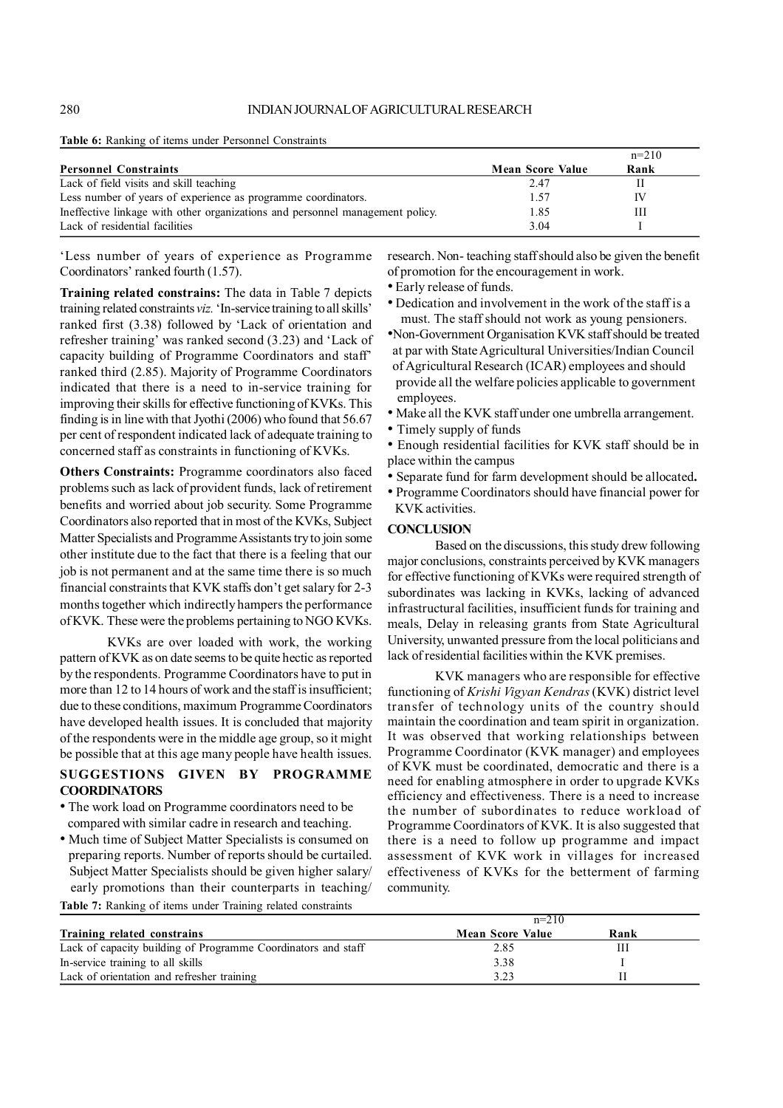**Table 6:** Ranking of items under Personnel Constraints

|                                                                               |                         | $n=210$ |  |
|-------------------------------------------------------------------------------|-------------------------|---------|--|
| <b>Personnel Constraints</b>                                                  | <b>Mean Score Value</b> | Rank    |  |
| Lack of field visits and skill teaching                                       | 2.47                    |         |  |
| Less number of years of experience as programme coordinators.                 | 1.57                    | IV      |  |
| Ineffective linkage with other organizations and personnel management policy. | 1.85                    | Ш       |  |
| Lack of residential facilities                                                | 3.04                    |         |  |

'Less number of years of experience as Programme Coordinators' ranked fourth (1.57).

**Training related constrains:** The data in Table 7 depicts training related constraints *viz.* 'In-service training to all skills' ranked first (3.38) followed by 'Lack of orientation and refresher training' was ranked second (3.23) and 'Lack of capacity building of Programme Coordinators and staff' ranked third (2.85). Majority of Programme Coordinators indicated that there is a need to in-service training for improving their skills for effective functioning of KVKs. This finding is in line with that Jyothi (2006) who found that 56.67 per cent of respondent indicated lack of adequate training to concerned staff as constraints in functioning of KVKs.

**Others Constraints:** Programme coordinators also faced problems such as lack of provident funds, lack of retirement benefits and worried about job security. Some Programme Coordinators also reported that in most of the KVKs, Subject Matter Specialists and Programme Assistants try to join some other institute due to the fact that there is a feeling that our job is not permanent and at the same time there is so much financial constraints that KVK staffs don't get salary for 2-3 months together which indirectly hampers the performance of KVK. These were the problems pertaining to NGO KVKs.

KVKs are over loaded with work, the working pattern of KVK as on date seems to be quite hectic as reported by the respondents. Programme Coordinators have to put in more than 12 to 14 hours of work and the staff is insufficient; due to these conditions, maximum Programme Coordinators have developed health issues. It is concluded that majority of the respondents were in the middle age group, so it might be possible that at this age many people have health issues.

# **SUGGESTIONS GIVEN BY PROGRAMME COORDINATORS**

- The work load on Programme coordinators need to be compared with similar cadre in research and teaching.
- Much time of Subject Matter Specialists is consumed on preparing reports. Number of reports should be curtailed. Subject Matter Specialists should be given higher salary/ early promotions than their counterparts in teaching/

**Table 7:** Ranking of items under Training related constraints

research. Non- teaching staff should also be given the benefit of promotion for the encouragement in work.

• Early release of funds.

• Dedication and involvement in the work of the staff is a must. The staff should not work as young pensioners.

- •Non-Government Organisation KVK staff should be treated at par with State Agricultural Universities/Indian Council of Agricultural Research (ICAR) employees and should provide all the welfare policies applicable to government employees.
- Make all the KVK staff under one umbrella arrangement.
- Timely supply of funds
- Enough residential facilities for KVK staff should be in place within the campus
- Separate fund for farm development should be allocated**.**
- Programme Coordinators should have financial power for KVK activities.

#### **CONCLUSION**

Based on the discussions, this study drew following major conclusions, constraints perceived by KVK managers for effective functioning of KVKs were required strength of subordinates was lacking in KVKs, lacking of advanced infrastructural facilities, insufficient funds for training and meals, Delay in releasing grants from State Agricultural University, unwanted pressure from the local politicians and lack of residential facilities within the KVK premises.

KVK managers who are responsible for effective functioning of *Krishi Vigyan Kendras* (KVK) district level transfer of technology units of the country should maintain the coordination and team spirit in organization. It was observed that working relationships between Programme Coordinator (KVK manager) and employees of KVK must be coordinated, democratic and there is a need for enabling atmosphere in order to upgrade KVKs efficiency and effectiveness. There is a need to increase the number of subordinates to reduce workload of Programme Coordinators of KVK. It is also suggested that there is a need to follow up programme and impact assessment of KVK work in villages for increased effectiveness of KVKs for the betterment of farming community.

|                                                               | $n=210$                 |      |  |
|---------------------------------------------------------------|-------------------------|------|--|
| Training related constrains                                   | <b>Mean Score Value</b> | Rank |  |
| Lack of capacity building of Programme Coordinators and staff | 2.85                    |      |  |
| In-service training to all skills                             | 3.38                    |      |  |
| Lack of orientation and refresher training                    | 3.23                    |      |  |